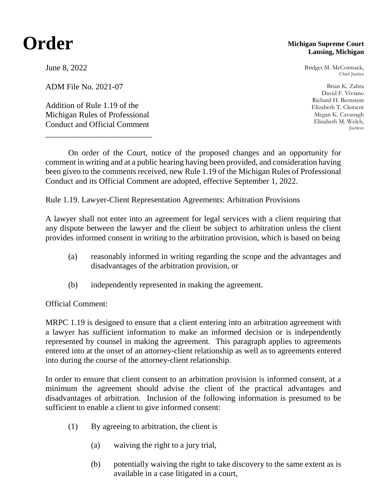## **Order**

## **Michigan Supreme Court Lansing, Michigan**

Bridget M. McCormack, Chief Justice

Brian K. Zahra David F. Viviano Richard H. Bernstein Elizabeth T. Clement Megan K. Cavanagh Elizabeth M. Welch, Justices

June 8, 2022

ADM File No. 2021-07

Addition of Rule 1.19 of the Michigan Rules of Professional Conduct and Official Comment

\_\_\_\_\_\_\_\_\_\_\_\_\_\_\_\_\_\_\_\_\_\_\_\_\_\_

On order of the Court, notice of the proposed changes and an opportunity for comment in writing and at a public hearing having been provided, and consideration having been given to the comments received, new Rule 1.19 of the Michigan Rules of Professional Conduct and its Official Comment are adopted, effective September 1, 2022.

Rule 1.19. Lawyer-Client Representation Agreements: Arbitration Provisions

A lawyer shall not enter into an agreement for legal services with a client requiring that any dispute between the lawyer and the client be subject to arbitration unless the client provides informed consent in writing to the arbitration provision, which is based on being

- (a) reasonably informed in writing regarding the scope and the advantages and disadvantages of the arbitration provision, or
- (b) independently represented in making the agreement.

Official Comment:

MRPC 1.19 is designed to ensure that a client entering into an arbitration agreement with a lawyer has sufficient information to make an informed decision or is independently represented by counsel in making the agreement. This paragraph applies to agreements entered into at the onset of an attorney-client relationship as well as to agreements entered into during the course of the attorney-client relationship.

In order to ensure that client consent to an arbitration provision is informed consent, at a minimum the agreement should advise the client of the practical advantages and disadvantages of arbitration. Inclusion of the following information is presumed to be sufficient to enable a client to give informed consent:

- (1) By agreeing to arbitration, the client is
	- (a) waiving the right to a jury trial,
	- (b) potentially waiving the right to take discovery to the same extent as is available in a case litigated in a court,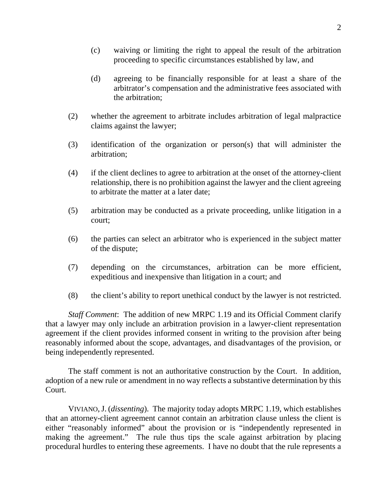- (c) waiving or limiting the right to appeal the result of the arbitration proceeding to specific circumstances established by law, and
- (d) agreeing to be financially responsible for at least a share of the arbitrator's compensation and the administrative fees associated with the arbitration;
- (2) whether the agreement to arbitrate includes arbitration of legal malpractice claims against the lawyer;
- (3) identification of the organization or person(s) that will administer the arbitration;
- (4) if the client declines to agree to arbitration at the onset of the attorney-client relationship, there is no prohibition against the lawyer and the client agreeing to arbitrate the matter at a later date;
- (5) arbitration may be conducted as a private proceeding, unlike litigation in a court;
- (6) the parties can select an arbitrator who is experienced in the subject matter of the dispute;
- (7) depending on the circumstances, arbitration can be more efficient, expeditious and inexpensive than litigation in a court; and
- (8) the client's ability to report unethical conduct by the lawyer is not restricted.

*Staff Comment*: The addition of new MRPC 1.19 and its Official Comment clarify that a lawyer may only include an arbitration provision in a lawyer-client representation agreement if the client provides informed consent in writing to the provision after being reasonably informed about the scope, advantages, and disadvantages of the provision, or being independently represented.

The staff comment is not an authoritative construction by the Court. In addition, adoption of a new rule or amendment in no way reflects a substantive determination by this Court.

VIVIANO,J. (*dissenting*). The majority today adopts MRPC 1.19, which establishes that an attorney-client agreement cannot contain an arbitration clause unless the client is either "reasonably informed" about the provision or is "independently represented in making the agreement." The rule thus tips the scale against arbitration by placing procedural hurdles to entering these agreements. I have no doubt that the rule represents a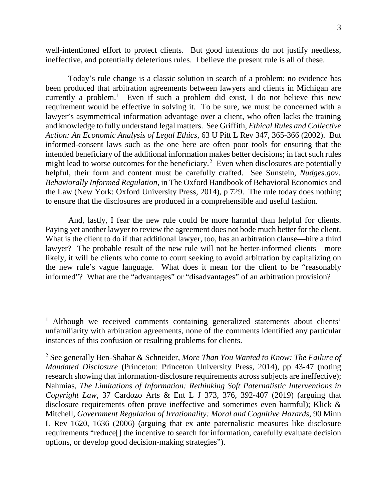well-intentioned effort to protect clients. But good intentions do not justify needless, ineffective, and potentially deleterious rules. I believe the present rule is all of these.

Today's rule change is a classic solution in search of a problem: no evidence has been produced that arbitration agreements between lawyers and clients in Michigan are currently a problem.<sup>[1](#page-2-0)</sup> Even if such a problem did exist, I do not believe this new requirement would be effective in solving it. To be sure, we must be concerned with a lawyer's asymmetrical information advantage over a client, who often lacks the training and knowledge to fully understand legal matters. See Griffith, *Ethical Rules and Collective Action: An Economic Analysis of Legal Ethics*, 63 U Pitt L Rev 347, 365-366 (2002). But informed-consent laws such as the one here are often poor tools for ensuring that the intended beneficiary of the additional information makes better decisions; in fact such rules might lead to worse outcomes for the beneficiary.<sup>[2](#page-2-1)</sup> Even when disclosures are potentially helpful, their form and content must be carefully crafted. See Sunstein, *Nudges.gov: Behaviorally Informed Regulation*, in The Oxford Handbook of Behavioral Economics and the Law (New York: Oxford University Press, 2014), p 729. The rule today does nothing to ensure that the disclosures are produced in a comprehensible and useful fashion.

And, lastly, I fear the new rule could be more harmful than helpful for clients. Paying yet another lawyer to review the agreement does not bode much better for the client. What is the client to do if that additional lawyer, too, has an arbitration clause—hire a third lawyer? The probable result of the new rule will not be better-informed clients—more likely, it will be clients who come to court seeking to avoid arbitration by capitalizing on the new rule's vague language. What does it mean for the client to be "reasonably informed"? What are the "advantages" or "disadvantages" of an arbitration provision?

<span id="page-2-0"></span><sup>&</sup>lt;sup>1</sup> Although we received comments containing generalized statements about clients' unfamiliarity with arbitration agreements, none of the comments identified any particular instances of this confusion or resulting problems for clients.

<span id="page-2-1"></span><sup>2</sup> See generally Ben-Shahar & Schneider, *More Than You Wanted to Know: The Failure of Mandated Disclosure* (Princeton: Princeton University Press, 2014), pp 43-47 (noting research showing that information-disclosure requirements across subjects are ineffective); Nahmias, *The Limitations of Information: Rethinking Soft Paternalistic Interventions in Copyright Law*, 37 Cardozo Arts & Ent L J 373, 376, 392-407 (2019) (arguing that disclosure requirements often prove ineffective and sometimes even harmful); Klick & Mitchell, *Government Regulation of Irrationality: Moral and Cognitive Hazards*, 90 Minn L Rev 1620, 1636 (2006) (arguing that ex ante paternalistic measures like disclosure requirements "reduce[] the incentive to search for information, carefully evaluate decision options, or develop good decision-making strategies").